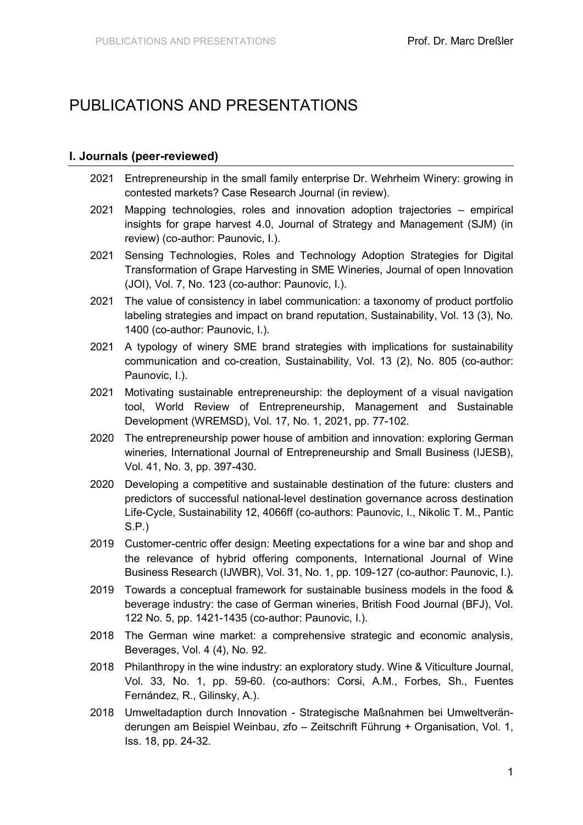# PUBLICATIONS AND PRESENTATIONS

#### **I. Journals (peer-reviewed)**

- 2021 Entrepreneurship in the small family enterprise Dr. Wehrheim Winery: growing in contested markets? Case Research Journal (in review).
- 2021 Mapping technologies, roles and innovation adoption trajectories empirical insights for grape harvest 4.0, Journal of Strategy and Management (SJM) (in review) (co-author: Paunovic, I.).
- 2021 Sensing Technologies, Roles and Technology Adoption Strategies for Digital Transformation of Grape Harvesting in SME Wineries, Journal of open Innovation (JOI), Vol. 7, No. 123 (co-author: Paunovic, I.).
- 2021 The value of consistency in label communication: a taxonomy of product portfolio labeling strategies and impact on brand reputation, Sustainability, Vol. 13 (3), No. 1400 (co-author: Paunovic, I.).
- 2021 A typology of winery SME brand strategies with implications for sustainability communication and co-creation, Sustainability, Vol. 13 (2), No. 805 (co-author: Paunovic, I.).
- 2021 Motivating sustainable entrepreneurship: the deployment of a visual navigation tool, World Review of Entrepreneurship, Management and Sustainable Development (WREMSD), Vol. 17, No. 1, 2021, pp. 77-102.
- 2020 The entrepreneurship power house of ambition and innovation: exploring German wineries, International Journal of Entrepreneurship and Small Business (IJESB), Vol. 41, No. 3, pp. 397-430.
- 2020 Developing a competitive and sustainable destination of the future: clusters and predictors of successful national-level destination governance across destination Life-Cycle, Sustainability 12, 4066ff (co-authors: Paunovic, I., Nikolic T. M., Pantic S.P.)
- 2019 Customer-centric offer design: Meeting expectations for a wine bar and shop and the relevance of hybrid offering components, International Journal of Wine Business Research (IJWBR), Vol. 31, No. 1, pp. 109-127 (co-author: Paunovic, I.).
- 2019 Towards a conceptual framework for sustainable business models in the food & beverage industry: the case of German wineries, British Food Journal (BFJ), Vol. 122 No. 5, pp. 1421-1435 (co-author: Paunovic, I.).
- 2018 The German wine market: a comprehensive strategic and economic analysis, Beverages, Vol. 4 (4), No. 92.
- 2018 Philanthropy in the wine industry: an exploratory study. Wine & Viticulture Journal, Vol. 33, No. 1, pp. 59-60. (co-authors: Corsi, A.M., Forbes, Sh., Fuentes Fernández, R., Gilinsky, A.).
- 2018 Umweltadaption durch Innovation Strategische Maßnahmen bei Umweltveränderungen am Beispiel Weinbau, zfo – Zeitschrift Führung + Organisation, Vol. 1, Iss. 18, pp. 24-32.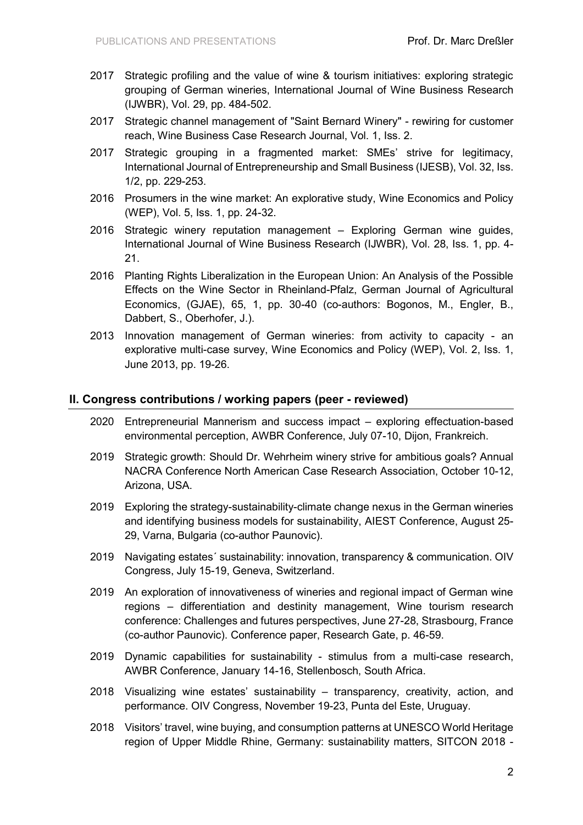- 2017 Strategic profiling and the value of wine & tourism initiatives: exploring strategic grouping of German wineries, International Journal of Wine Business Research (IJWBR), Vol. 29, pp. 484-502.
- 2017 Strategic channel management of "Saint Bernard Winery" rewiring for customer reach, Wine Business Case Research Journal, Vol. 1, Iss. 2.
- 2017 Strategic grouping in a fragmented market: SMEs' strive for legitimacy, International Journal of Entrepreneurship and Small Business (IJESB), Vol. 32, Iss. 1/2, pp. 229-253.
- 2016 Prosumers in the wine market: An explorative study, Wine Economics and Policy (WEP), Vol. 5, Iss. 1, pp. 24-32.
- 2016 Strategic winery reputation management Exploring German wine guides, International Journal of Wine Business Research (IJWBR), Vol. 28, Iss. 1, pp. 4- 21.
- 2016 Planting Rights Liberalization in the European Union: An Analysis of the Possible Effects on the Wine Sector in Rheinland-Pfalz, German Journal of Agricultural Economics, (GJAE), 65, 1, pp. 30-40 (co-authors: Bogonos, M., Engler, B., Dabbert, S., Oberhofer, J.).
- 2013 Innovation management of German wineries: from activity to capacity an explorative multi-case survey, Wine Economics and Policy (WEP), Vol. 2, Iss. 1, June 2013, pp. 19-26.

### **II. Congress contributions / working papers (peer - reviewed)**

- 2020 Entrepreneurial Mannerism and success impact exploring effectuation-based environmental perception, AWBR Conference, July 07-10, Dijon, Frankreich.
- 2019 Strategic growth: Should Dr. Wehrheim winery strive for ambitious goals? Annual NACRA Conference North American Case Research Association, October 10-12, Arizona, USA.
- 2019 Exploring the strategy-sustainability-climate change nexus in the German wineries and identifying business models for sustainability, AIEST Conference, August 25- 29, Varna, Bulgaria (co-author Paunovic).
- 2019 Navigating estates´ sustainability: innovation, transparency & communication. OIV Congress, July 15-19, Geneva, Switzerland.
- 2019 An exploration of innovativeness of wineries and regional impact of German wine regions – differentiation and destinity management, Wine tourism research conference: Challenges and futures perspectives, June 27-28, Strasbourg, France (co-author Paunovic). Conference paper, Research Gate, p. 46-59.
- 2019 Dynamic capabilities for sustainability stimulus from a multi-case research, AWBR Conference, January 14-16, Stellenbosch, South Africa.
- 2018 Visualizing wine estates' sustainability transparency, creativity, action, and performance. OIV Congress, November 19-23, Punta del Este, Uruguay.
- 2018 Visitors' travel, wine buying, and consumption patterns at UNESCO World Heritage region of Upper Middle Rhine, Germany: sustainability matters, SITCON 2018 -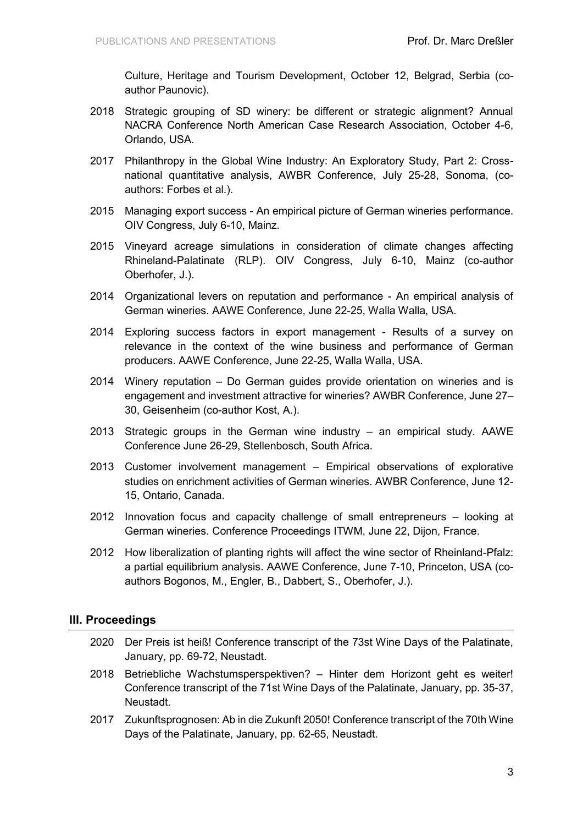Culture, Heritage and Tourism Development, October 12, Belgrad, Serbia (coauthor Paunovic).

- 2018 Strategic grouping of SD winery: be different or strategic alignment? Annual NACRA Conference North American Case Research Association, October 4-6, Orlando, USA.
- 2017 Philanthropy in the Global Wine Industry: An Exploratory Study, Part 2: Crossnational quantitative analysis, AWBR Conference, July 25-28, Sonoma, (coauthors: Forbes et al.).
- 2015 Managing export success An empirical picture of German wineries performance. OIV Congress, July 6-10, Mainz.
- 2015 Vineyard acreage simulations in consideration of climate changes affecting Rhineland-Palatinate (RLP). OIV Congress, July 6-10, Mainz (co-author Oberhofer, J.).
- 2014 Organizational levers on reputation and performance An empirical analysis of German wineries. AAWE Conference, June 22-25, Walla Walla, USA.
- 2014 Exploring success factors in export management Results of a survey on relevance in the context of the wine business and performance of German producers. AAWE Conference, June 22-25, Walla Walla, USA.
- 2014 Winery reputation Do German guides provide orientation on wineries and is engagement and investment attractive for wineries? AWBR Conference, June 27– 30, Geisenheim (co-author Kost, A.).
- 2013 Strategic groups in the German wine industry an empirical study. AAWE Conference June 26-29, Stellenbosch, South Africa.
- 2013 Customer involvement management Empirical observations of explorative studies on enrichment activities of German wineries. AWBR Conference, June 12- 15, Ontario, Canada.
- 2012 Innovation focus and capacity challenge of small entrepreneurs looking at German wineries. Conference Proceedings ITWM, June 22, Dijon, France.
- 2012 How liberalization of planting rights will affect the wine sector of Rheinland-Pfalz: a partial equilibrium analysis. AAWE Conference, June 7-10, Princeton, USA (coauthors Bogonos, M., Engler, B., Dabbert, S., Oberhofer, J.).

## **III. Proceedings**

- 2020 Der Preis ist heiß! Conference transcript of the 73st Wine Days of the Palatinate, January, pp. 69-72, Neustadt.
- 2018 Betriebliche Wachstumsperspektiven? Hinter dem Horizont geht es weiter! Conference transcript of the 71st Wine Days of the Palatinate, January, pp. 35-37, Neustadt.
- 2017 Zukunftsprognosen: Ab in die Zukunft 2050! Conference transcript of the 70th Wine Days of the Palatinate, January, pp. 62-65, Neustadt.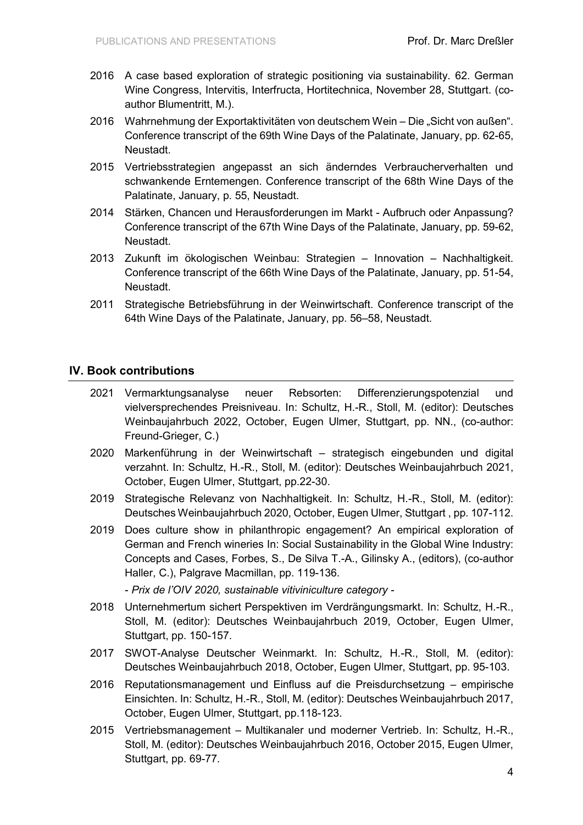- 2016 A case based exploration of strategic positioning via sustainability. 62. German Wine Congress, Intervitis, Interfructa, Hortitechnica, November 28, Stuttgart. (coauthor Blumentritt, M.).
- 2016 Wahrnehmung der Exportaktivitäten von deutschem Wein Die "Sicht von außen". Conference transcript of the 69th Wine Days of the Palatinate, January, pp. 62-65, Neustadt.
- 2015 Vertriebsstrategien angepasst an sich änderndes Verbraucherverhalten und schwankende Erntemengen. Conference transcript of the 68th Wine Days of the Palatinate, January, p. 55, Neustadt.
- 2014 Stärken, Chancen und Herausforderungen im Markt Aufbruch oder Anpassung? Conference transcript of the 67th Wine Days of the Palatinate, January, pp. 59-62, Neustadt.
- 2013 Zukunft im ökologischen Weinbau: Strategien Innovation Nachhaltigkeit. Conference transcript of the 66th Wine Days of the Palatinate, January, pp. 51-54, Neustadt.
- 2011 Strategische Betriebsführung in der Weinwirtschaft. Conference transcript of the 64th Wine Days of the Palatinate, January, pp. 56–58, Neustadt.

### **IV. Book contributions**

- 2021 Vermarktungsanalyse neuer Rebsorten: Differenzierungspotenzial und vielversprechendes Preisniveau. In: Schultz, H.-R., Stoll, M. (editor): Deutsches Weinbaujahrbuch 2022, October, Eugen Ulmer, Stuttgart, pp. NN., (co-author: Freund-Grieger, C.)
- 2020 Markenführung in der Weinwirtschaft strategisch eingebunden und digital verzahnt. In: Schultz, H.-R., Stoll, M. (editor): Deutsches Weinbaujahrbuch 2021, October, Eugen Ulmer, Stuttgart, pp.22-30.
- 2019 Strategische Relevanz von Nachhaltigkeit. In: Schultz, H.-R., Stoll, M. (editor): Deutsches Weinbaujahrbuch 2020, October, Eugen Ulmer, Stuttgart , pp. 107-112.
- 2019 Does culture show in philanthropic engagement? An empirical exploration of German and French wineries In: Social Sustainability in the Global Wine Industry: Concepts and Cases, Forbes, S., De Silva T.-A., Gilinsky A., (editors), (co-author Haller, C.), Palgrave Macmillan, pp. 119-136.

- *Prix de l'OIV 2020, sustainable vitiviniculture category -*

- 2018 Unternehmertum sichert Perspektiven im Verdrängungsmarkt. In: Schultz, H.-R., Stoll, M. (editor): Deutsches Weinbaujahrbuch 2019, October, Eugen Ulmer, Stuttgart, pp. 150-157.
- 2017 SWOT-Analyse Deutscher Weinmarkt. In: Schultz, H.-R., Stoll, M. (editor): Deutsches Weinbaujahrbuch 2018, October, Eugen Ulmer, Stuttgart, pp. 95-103.
- 2016 Reputationsmanagement und Einfluss auf die Preisdurchsetzung empirische Einsichten. In: Schultz, H.-R., Stoll, M. (editor): Deutsches Weinbaujahrbuch 2017, October, Eugen Ulmer, Stuttgart, pp.118-123.
- 2015 Vertriebsmanagement Multikanaler und moderner Vertrieb. In: Schultz, H.-R., Stoll, M. (editor): Deutsches Weinbaujahrbuch 2016, October 2015, Eugen Ulmer, Stuttgart, pp. 69-77.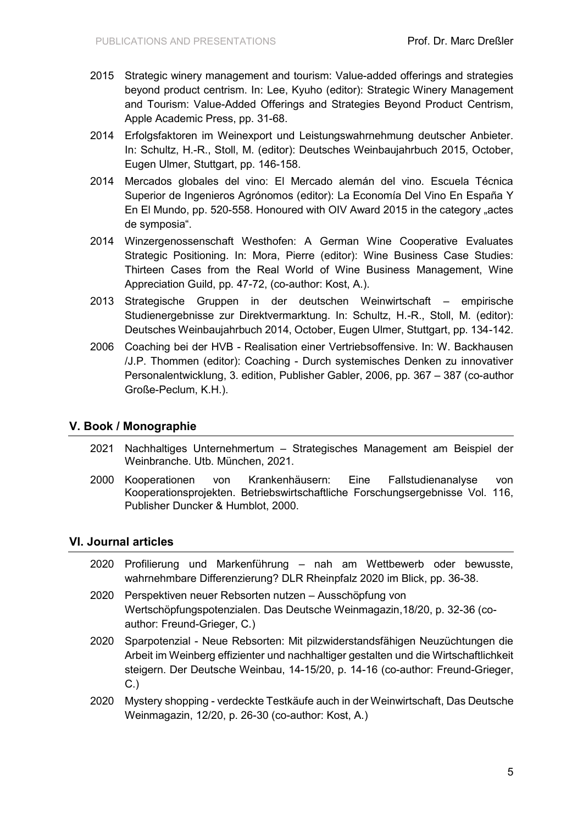- 2015 Strategic winery management and tourism: Value-added offerings and strategies beyond product centrism. In: Lee, Kyuho (editor): Strategic Winery Management and Tourism: Value-Added Offerings and Strategies Beyond Product Centrism, Apple Academic Press, pp. 31-68.
- 2014 Erfolgsfaktoren im Weinexport und Leistungswahrnehmung deutscher Anbieter. In: Schultz, H.-R., Stoll, M. (editor): Deutsches Weinbaujahrbuch 2015, October, Eugen Ulmer, Stuttgart, pp. 146-158.
- 2014 Mercados globales del vino: El Mercado alemán del vino. Escuela Técnica Superior de Ingenieros Agrónomos (editor): La Economía Del Vino En España Y En El Mundo, pp. 520-558. Honoured with OIV Award 2015 in the category "actes de symposia".
- 2014 Winzergenossenschaft Westhofen: A German Wine Cooperative Evaluates Strategic Positioning. In: Mora, Pierre (editor): Wine Business Case Studies: Thirteen Cases from the Real World of Wine Business Management, Wine Appreciation Guild, pp. 47-72, (co-author: Kost, A.).
- 2013 Strategische Gruppen in der deutschen Weinwirtschaft empirische Studienergebnisse zur Direktvermarktung. In: Schultz, H.-R., Stoll, M. (editor): Deutsches Weinbaujahrbuch 2014, October, Eugen Ulmer, Stuttgart, pp. 134-142.
- 2006 Coaching bei der HVB Realisation einer Vertriebsoffensive. In: W. Backhausen /J.P. Thommen (editor): Coaching - Durch systemisches Denken zu innovativer Personalentwicklung, 3. edition, Publisher Gabler, 2006, pp. 367 – 387 (co-author Große-Peclum, K.H.).

# **V. Book / Monographie**

- 2021 Nachhaltiges Unternehmertum Strategisches Management am Beispiel der Weinbranche. Utb. München, 2021.
- 2000 Kooperationen von Krankenhäusern: Eine Fallstudienanalyse von Kooperationsprojekten. Betriebswirtschaftliche Forschungsergebnisse Vol. 116, Publisher Duncker & Humblot, 2000.

#### **VI. Journal articles**

- 2020 Profilierung und Markenführung nah am Wettbewerb oder bewusste, wahrnehmbare Differenzierung? DLR Rheinpfalz 2020 im Blick, pp. 36-38.
- 2020 Perspektiven neuer Rebsorten nutzen Ausschöpfung von Wertschöpfungspotenzialen. Das Deutsche Weinmagazin,18/20, p. 32-36 (coauthor: Freund-Grieger, C.)
- 2020 Sparpotenzial Neue Rebsorten: Mit pilzwiderstandsfähigen Neuzüchtungen die Arbeit im Weinberg effizienter und nachhaltiger gestalten und die Wirtschaftlichkeit steigern. Der Deutsche Weinbau, 14-15/20, p. 14-16 (co-author: Freund-Grieger, C.)
- 2020 Mystery shopping verdeckte Testkäufe auch in der Weinwirtschaft, Das Deutsche Weinmagazin, 12/20, p. 26-30 (co-author: Kost, A.)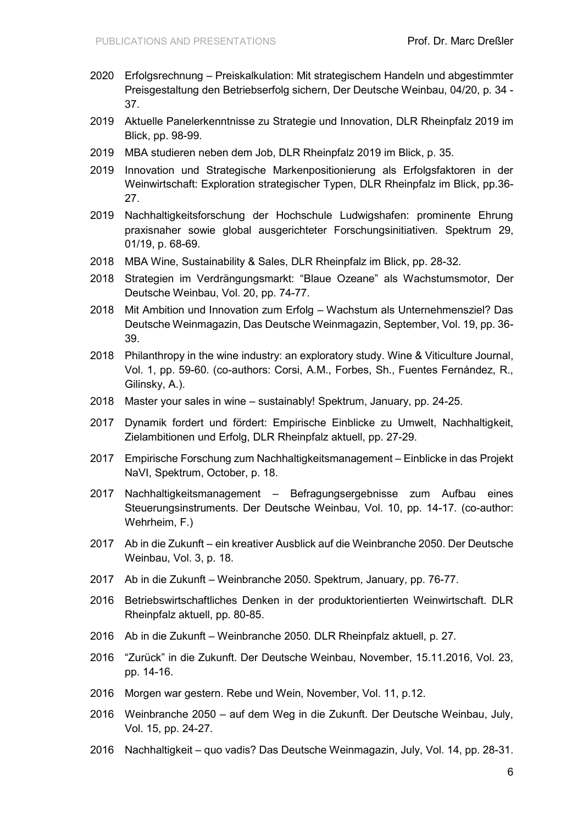- 2020 Erfolgsrechnung Preiskalkulation: Mit strategischem Handeln und abgestimmter Preisgestaltung den Betriebserfolg sichern, Der Deutsche Weinbau, 04/20, p. 34 - 37.
- 2019 Aktuelle Panelerkenntnisse zu Strategie und Innovation, DLR Rheinpfalz 2019 im Blick, pp. 98-99.
- 2019 MBA studieren neben dem Job, DLR Rheinpfalz 2019 im Blick, p. 35.
- 2019 Innovation und Strategische Markenpositionierung als Erfolgsfaktoren in der Weinwirtschaft: Exploration strategischer Typen, DLR Rheinpfalz im Blick, pp.36- 27.
- 2019 Nachhaltigkeitsforschung der Hochschule Ludwigshafen: prominente Ehrung praxisnaher sowie global ausgerichteter Forschungsinitiativen. Spektrum 29, 01/19, p. 68-69.
- 2018 MBA Wine, Sustainability & Sales, DLR Rheinpfalz im Blick, pp. 28-32.
- 2018 Strategien im Verdrängungsmarkt: "Blaue Ozeane" als Wachstumsmotor, Der Deutsche Weinbau, Vol. 20, pp. 74-77.
- 2018 Mit Ambition und Innovation zum Erfolg Wachstum als Unternehmensziel? Das Deutsche Weinmagazin, Das Deutsche Weinmagazin, September, Vol. 19, pp. 36- 39.
- 2018 Philanthropy in the wine industry: an exploratory study. Wine & Viticulture Journal, Vol. 1, pp. 59-60. (co-authors: Corsi, A.M., Forbes, Sh., Fuentes Fernández, R., Gilinsky, A.).
- 2018 Master your sales in wine sustainably! Spektrum, January, pp. 24-25.
- 2017 Dynamik fordert und fördert: Empirische Einblicke zu Umwelt, Nachhaltigkeit, Zielambitionen und Erfolg, DLR Rheinpfalz aktuell, pp. 27-29.
- 2017 Empirische Forschung zum Nachhaltigkeitsmanagement Einblicke in das Projekt NaVI, Spektrum, October, p. 18.
- 2017 Nachhaltigkeitsmanagement Befragungsergebnisse zum Aufbau eines Steuerungsinstruments. Der Deutsche Weinbau, Vol. 10, pp. 14-17. (co-author: Wehrheim, F.)
- 2017 Ab in die Zukunft ein kreativer Ausblick auf die Weinbranche 2050. Der Deutsche Weinbau, Vol. 3, p. 18.
- 2017 Ab in die Zukunft Weinbranche 2050. Spektrum, January, pp. 76-77.
- 2016 Betriebswirtschaftliches Denken in der produktorientierten Weinwirtschaft. DLR Rheinpfalz aktuell, pp. 80-85.
- 2016 Ab in die Zukunft Weinbranche 2050. DLR Rheinpfalz aktuell, p. 27.
- 2016 "Zurück" in die Zukunft. Der Deutsche Weinbau, November, 15.11.2016, Vol. 23, pp. 14-16.
- 2016 Morgen war gestern. Rebe und Wein, November, Vol. 11, p.12.
- 2016 Weinbranche 2050 auf dem Weg in die Zukunft. Der Deutsche Weinbau, July, Vol. 15, pp. 24-27.
- 2016 Nachhaltigkeit quo vadis? Das Deutsche Weinmagazin, July, Vol. 14, pp. 28-31.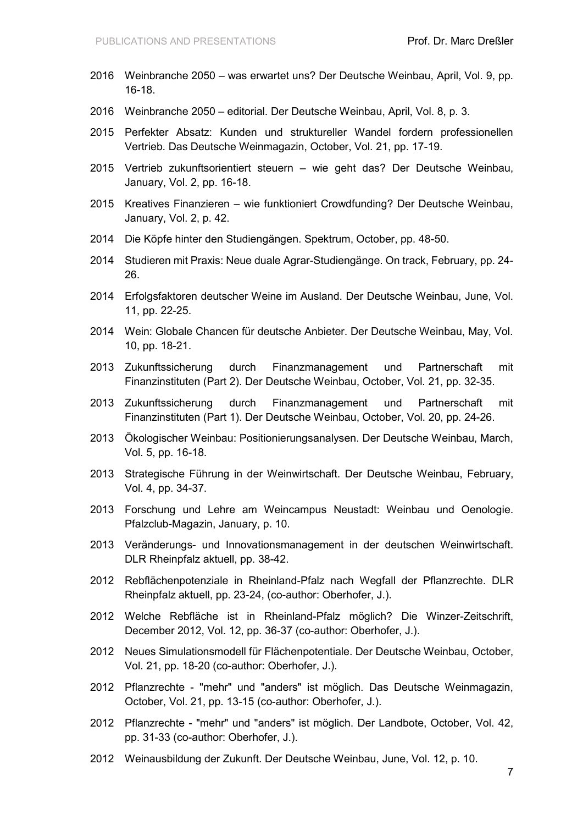- 2016 Weinbranche 2050 was erwartet uns? Der Deutsche Weinbau, April, Vol. 9, pp. 16-18.
- 2016 Weinbranche 2050 editorial. Der Deutsche Weinbau, April, Vol. 8, p. 3.
- 2015 Perfekter Absatz: Kunden und struktureller Wandel fordern professionellen Vertrieb. Das Deutsche Weinmagazin, October, Vol. 21, pp. 17-19.
- 2015 Vertrieb zukunftsorientiert steuern wie geht das? Der Deutsche Weinbau, January, Vol. 2, pp. 16-18.
- 2015 Kreatives Finanzieren wie funktioniert Crowdfunding? Der Deutsche Weinbau, January, Vol. 2, p. 42.
- 2014 Die Köpfe hinter den Studiengängen. Spektrum, October, pp. 48-50.
- 2014 Studieren mit Praxis: Neue duale Agrar-Studiengänge. On track, February, pp. 24- 26.
- 2014 Erfolgsfaktoren deutscher Weine im Ausland. Der Deutsche Weinbau, June, Vol. 11, pp. 22-25.
- 2014 Wein: Globale Chancen für deutsche Anbieter. Der Deutsche Weinbau, May, Vol. 10, pp. 18-21.
- 2013 Zukunftssicherung durch Finanzmanagement und Partnerschaft mit Finanzinstituten (Part 2). Der Deutsche Weinbau, October, Vol. 21, pp. 32-35.
- 2013 Zukunftssicherung durch Finanzmanagement und Partnerschaft mit Finanzinstituten (Part 1). Der Deutsche Weinbau, October, Vol. 20, pp. 24-26.
- 2013 Ökologischer Weinbau: Positionierungsanalysen. Der Deutsche Weinbau, March, Vol. 5, pp. 16-18.
- 2013 Strategische Führung in der Weinwirtschaft. Der Deutsche Weinbau, February, Vol. 4, pp. 34-37.
- 2013 Forschung und Lehre am Weincampus Neustadt: Weinbau und Oenologie. Pfalzclub-Magazin, January, p. 10.
- 2013 Veränderungs- und Innovationsmanagement in der deutschen Weinwirtschaft. DLR Rheinpfalz aktuell, pp. 38-42.
- 2012 Rebflächenpotenziale in Rheinland-Pfalz nach Wegfall der Pflanzrechte. DLR Rheinpfalz aktuell, pp. 23-24, (co-author: Oberhofer, J.).
- 2012 Welche Rebfläche ist in Rheinland-Pfalz möglich? Die Winzer-Zeitschrift, December 2012, Vol. 12, pp. 36-37 (co-author: Oberhofer, J.).
- 2012 Neues Simulationsmodell für Flächenpotentiale. Der Deutsche Weinbau, October, Vol. 21, pp. 18-20 (co-author: Oberhofer, J.).
- 2012 Pflanzrechte "mehr" und "anders" ist möglich. Das Deutsche Weinmagazin, October, Vol. 21, pp. 13-15 (co-author: Oberhofer, J.).
- 2012 Pflanzrechte "mehr" und "anders" ist möglich. Der Landbote, October, Vol. 42, pp. 31-33 (co-author: Oberhofer, J.).
- 2012 Weinausbildung der Zukunft. Der Deutsche Weinbau, June, Vol. 12, p. 10.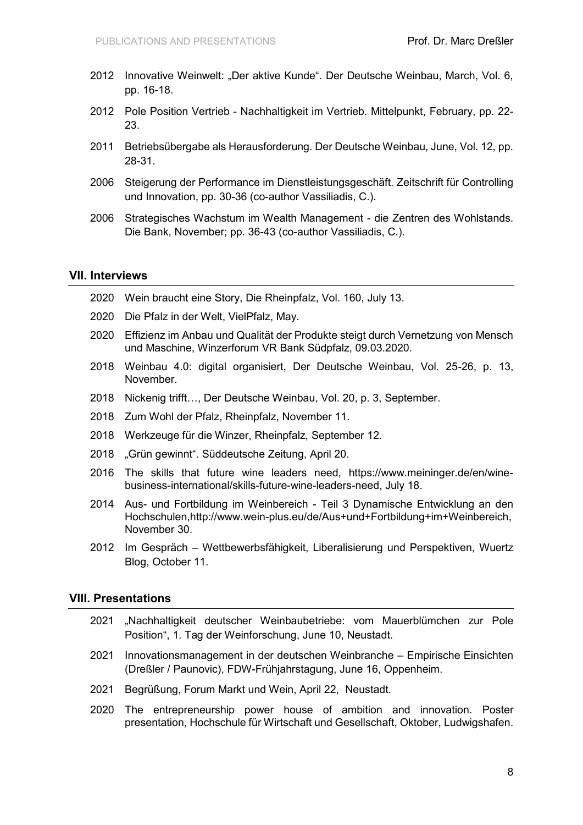- 2012 Innovative Weinwelt: "Der aktive Kunde". Der Deutsche Weinbau, March, Vol. 6, pp. 16-18.
- 2012 Pole Position Vertrieb Nachhaltigkeit im Vertrieb. Mittelpunkt, February, pp. 22- 23.
- 2011 Betriebsübergabe als Herausforderung. Der Deutsche Weinbau, June, Vol. 12, pp. 28-31.
- 2006 Steigerung der Performance im Dienstleistungsgeschäft. Zeitschrift für Controlling und Innovation, pp. 30-36 (co-author Vassiliadis, C.).
- 2006 Strategisches Wachstum im Wealth Management die Zentren des Wohlstands. Die Bank, November; pp. 36-43 (co-author Vassiliadis, C.).

# **VII. Interviews**

- 2020 Wein braucht eine Story, Die Rheinpfalz, Vol. 160, July 13.
- 2020 Die Pfalz in der Welt, VielPfalz, May.
- 2020 Effizienz im Anbau und Qualität der Produkte steigt durch Vernetzung von Mensch und Maschine, Winzerforum VR Bank Südpfalz, 09.03.2020.
- 2018 Weinbau 4.0: digital organisiert, Der Deutsche Weinbau, Vol. 25-26, p. 13, November.
- 2018 Nickenig trifft…, Der Deutsche Weinbau, Vol. 20, p. 3, September.
- 2018 Zum Wohl der Pfalz, Rheinpfalz, November 11.
- 2018 Werkzeuge für die Winzer, Rheinpfalz, September 12.
- 2018 "Grün gewinnt". Süddeutsche Zeitung, April 20.
- 2016 The skills that future wine leaders need, https://www.meininger.de/en/winebusiness-international/skills-future-wine-leaders-need, July 18.
- 2014 Aus- und Fortbildung im Weinbereich Teil 3 Dynamische Entwicklung an den Hochschulen,http://www.wein-plus.eu/de/Aus+und+Fortbildung+im+Weinbereich, November 30.
- 2012 Im Gespräch Wettbewerbsfähigkeit, Liberalisierung und Perspektiven, Wuertz Blog, October 11.

#### **VIII. Presentations**

- 2021 "Nachhaltigkeit deutscher Weinbaubetriebe: vom Mauerblümchen zur Pole Position", 1. Tag der Weinforschung, June 10, Neustadt.
- 2021 Innovationsmanagement in der deutschen Weinbranche Empirische Einsichten (Dreßler / Paunovic), FDW-Frühjahrstagung, June 16, Oppenheim.
- 2021 Begrüßung, Forum Markt und Wein, April 22, Neustadt.
- 2020 The entrepreneurship power house of ambition and innovation. Poster presentation, Hochschule für Wirtschaft und Gesellschaft, Oktober, Ludwigshafen.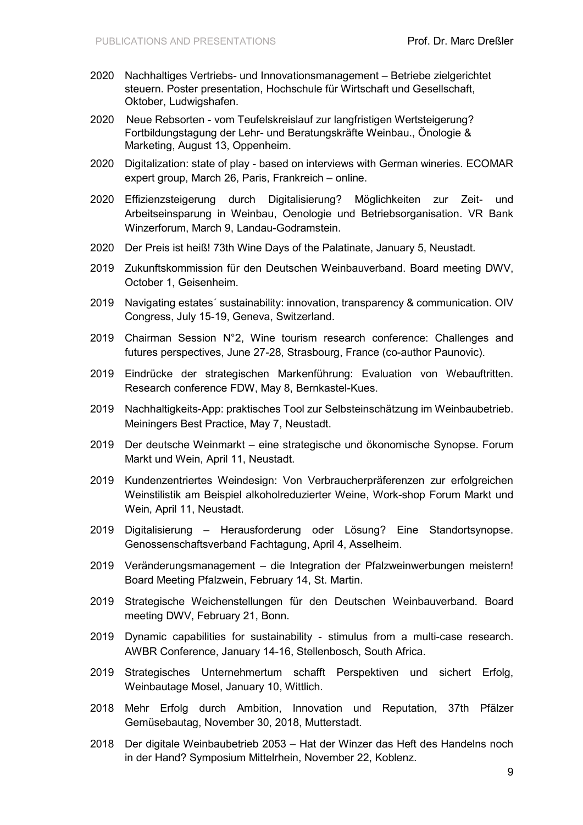- 2020 Nachhaltiges Vertriebs- und Innovationsmanagement Betriebe zielgerichtet steuern. Poster presentation, Hochschule für Wirtschaft und Gesellschaft, Oktober, Ludwigshafen.
- 2020 Neue Rebsorten vom Teufelskreislauf zur langfristigen Wertsteigerung? Fortbildungstagung der Lehr- und Beratungskräfte Weinbau., Önologie & Marketing, August 13, Oppenheim.
- 2020 Digitalization: state of play based on interviews with German wineries. ECOMAR expert group, March 26, Paris, Frankreich – online.
- 2020 Effizienzsteigerung durch Digitalisierung? Möglichkeiten zur Zeit- und Arbeitseinsparung in Weinbau, Oenologie und Betriebsorganisation. VR Bank Winzerforum, March 9, Landau-Godramstein.
- 2020 Der Preis ist heiß! 73th Wine Days of the Palatinate, January 5, Neustadt.
- 2019 Zukunftskommission für den Deutschen Weinbauverband. Board meeting DWV, October 1, Geisenheim.
- 2019 Navigating estates´ sustainability: innovation, transparency & communication. OIV Congress, July 15-19, Geneva, Switzerland.
- 2019 Chairman Session N°2, Wine tourism research conference: Challenges and futures perspectives, June 27-28, Strasbourg, France (co-author Paunovic).
- 2019 Eindrücke der strategischen Markenführung: Evaluation von Webauftritten. Research conference FDW, May 8, Bernkastel-Kues.
- 2019 Nachhaltigkeits-App: praktisches Tool zur Selbsteinschätzung im Weinbaubetrieb. Meiningers Best Practice, May 7, Neustadt.
- 2019 Der deutsche Weinmarkt eine strategische und ökonomische Synopse. Forum Markt und Wein, April 11, Neustadt.
- 2019 Kundenzentriertes Weindesign: Von Verbraucherpräferenzen zur erfolgreichen Weinstilistik am Beispiel alkoholreduzierter Weine, Work-shop Forum Markt und Wein, April 11, Neustadt.
- 2019 Digitalisierung Herausforderung oder Lösung? Eine Standortsynopse. Genossenschaftsverband Fachtagung, April 4, Asselheim.
- 2019 Veränderungsmanagement die Integration der Pfalzweinwerbungen meistern! Board Meeting Pfalzwein, February 14, St. Martin.
- 2019 Strategische Weichenstellungen für den Deutschen Weinbauverband. Board meeting DWV, February 21, Bonn.
- 2019 Dynamic capabilities for sustainability stimulus from a multi-case research. AWBR Conference, January 14-16, Stellenbosch, South Africa.
- 2019 Strategisches Unternehmertum schafft Perspektiven und sichert Erfolg, Weinbautage Mosel, January 10, Wittlich.
- 2018 Mehr Erfolg durch Ambition, Innovation und Reputation, 37th Pfälzer Gemüsebautag, November 30, 2018, Mutterstadt.
- 2018 Der digitale Weinbaubetrieb 2053 Hat der Winzer das Heft des Handelns noch in der Hand? Symposium Mittelrhein, November 22, Koblenz.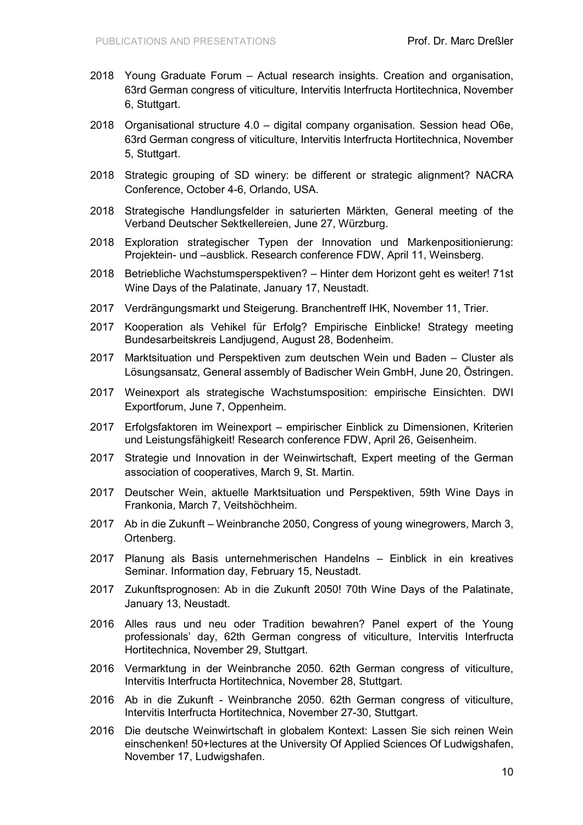- 2018 Young Graduate Forum Actual research insights. Creation and organisation, 63rd German congress of viticulture, Intervitis Interfructa Hortitechnica, November 6, Stuttgart.
- 2018 Organisational structure 4.0 digital company organisation. Session head O6e, 63rd German congress of viticulture, Intervitis Interfructa Hortitechnica, November 5, Stuttgart.
- 2018 Strategic grouping of SD winery: be different or strategic alignment? NACRA Conference, October 4-6, Orlando, USA.
- 2018 Strategische Handlungsfelder in saturierten Märkten, General meeting of the Verband Deutscher Sektkellereien, June 27, Würzburg.
- 2018 Exploration strategischer Typen der Innovation und Markenpositionierung: Projektein- und –ausblick. Research conference FDW, April 11, Weinsberg.
- 2018 Betriebliche Wachstumsperspektiven? Hinter dem Horizont geht es weiter! 71st Wine Days of the Palatinate, January 17, Neustadt.
- 2017 Verdrängungsmarkt und Steigerung. Branchentreff IHK, November 11, Trier.
- 2017 Kooperation als Vehikel für Erfolg? Empirische Einblicke! Strategy meeting Bundesarbeitskreis Landjugend, August 28, Bodenheim.
- 2017 Marktsituation und Perspektiven zum deutschen Wein und Baden Cluster als Lösungsansatz, General assembly of Badischer Wein GmbH, June 20, Östringen.
- 2017 Weinexport als strategische Wachstumsposition: empirische Einsichten. DWI Exportforum, June 7, Oppenheim.
- 2017 Erfolgsfaktoren im Weinexport empirischer Einblick zu Dimensionen, Kriterien und Leistungsfähigkeit! Research conference FDW, April 26, Geisenheim.
- 2017 Strategie und Innovation in der Weinwirtschaft, Expert meeting of the German association of cooperatives, March 9, St. Martin.
- 2017 Deutscher Wein, aktuelle Marktsituation und Perspektiven, 59th Wine Days in Frankonia, March 7, Veitshöchheim.
- 2017 Ab in die Zukunft Weinbranche 2050, Congress of young winegrowers, March 3, Ortenberg.
- 2017 Planung als Basis unternehmerischen Handelns Einblick in ein kreatives Seminar. Information day, February 15, Neustadt.
- 2017 Zukunftsprognosen: Ab in die Zukunft 2050! 70th Wine Days of the Palatinate, January 13, Neustadt.
- 2016 Alles raus und neu oder Tradition bewahren? Panel expert of the Young professionals' day, 62th German congress of viticulture, Intervitis Interfructa Hortitechnica, November 29, Stuttgart.
- 2016 Vermarktung in der Weinbranche 2050. 62th German congress of viticulture, Intervitis Interfructa Hortitechnica, November 28, Stuttgart.
- 2016 Ab in die Zukunft Weinbranche 2050. 62th German congress of viticulture, Intervitis Interfructa Hortitechnica, November 27-30, Stuttgart.
- 2016 Die deutsche Weinwirtschaft in globalem Kontext: Lassen Sie sich reinen Wein einschenken! 50+lectures at the University Of Applied Sciences Of Ludwigshafen, November 17, Ludwigshafen.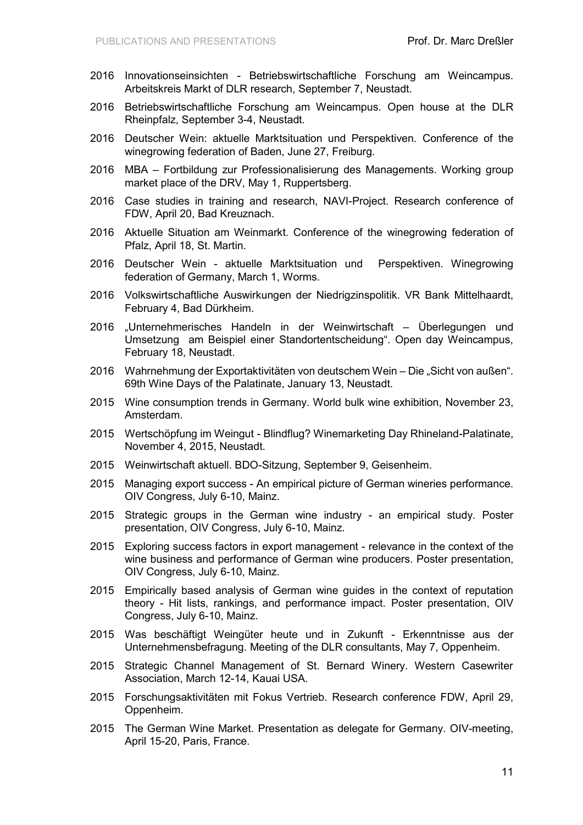- 2016 Innovationseinsichten Betriebswirtschaftliche Forschung am Weincampus. Arbeitskreis Markt of DLR research, September 7, Neustadt.
- 2016 Betriebswirtschaftliche Forschung am Weincampus. Open house at the DLR Rheinpfalz, September 3-4, Neustadt.
- 2016 Deutscher Wein: aktuelle Marktsituation und Perspektiven. Conference of the winegrowing federation of Baden, June 27, Freiburg.
- 2016 MBA Fortbildung zur Professionalisierung des Managements. Working group market place of the DRV, May 1, Ruppertsberg.
- 2016 Case studies in training and research, NAVI-Project. Research conference of FDW, April 20, Bad Kreuznach.
- 2016 Aktuelle Situation am Weinmarkt. Conference of the winegrowing federation of Pfalz, April 18, St. Martin.
- 2016 Deutscher Wein aktuelle Marktsituation und Perspektiven. Winegrowing federation of Germany, March 1, Worms.
- 2016 Volkswirtschaftliche Auswirkungen der Niedrigzinspolitik. VR Bank Mittelhaardt, February 4, Bad Dürkheim.
- 2016 "Unternehmerisches Handeln in der Weinwirtschaft Überlegungen und Umsetzung am Beispiel einer Standortentscheidung". Open day Weincampus, February 18, Neustadt.
- 2016 Wahrnehmung der Exportaktivitäten von deutschem Wein Die "Sicht von außen". 69th Wine Days of the Palatinate, January 13, Neustadt.
- 2015 Wine consumption trends in Germany. World bulk wine exhibition, November 23, Amsterdam.
- 2015 Wertschöpfung im Weingut Blindflug? Winemarketing Day Rhineland-Palatinate, November 4, 2015, Neustadt.
- 2015 Weinwirtschaft aktuell. BDO-Sitzung, September 9, Geisenheim.
- 2015 Managing export success An empirical picture of German wineries performance. OIV Congress, July 6-10, Mainz.
- 2015 Strategic groups in the German wine industry an empirical study. Poster presentation, OIV Congress, July 6-10, Mainz.
- 2015 Exploring success factors in export management relevance in the context of the wine business and performance of German wine producers. Poster presentation, OIV Congress, July 6-10, Mainz.
- 2015 Empirically based analysis of German wine guides in the context of reputation theory - Hit lists, rankings, and performance impact. Poster presentation, OIV Congress, July 6-10, Mainz.
- 2015 Was beschäftigt Weingüter heute und in Zukunft Erkenntnisse aus der Unternehmensbefragung. Meeting of the DLR consultants, May 7, Oppenheim.
- 2015 Strategic Channel Management of St. Bernard Winery. Western Casewriter Association, March 12-14, Kauai USA.
- 2015 Forschungsaktivitäten mit Fokus Vertrieb. Research conference FDW, April 29, Oppenheim.
- 2015 The German Wine Market. Presentation as delegate for Germany. OIV-meeting, April 15-20, Paris, France.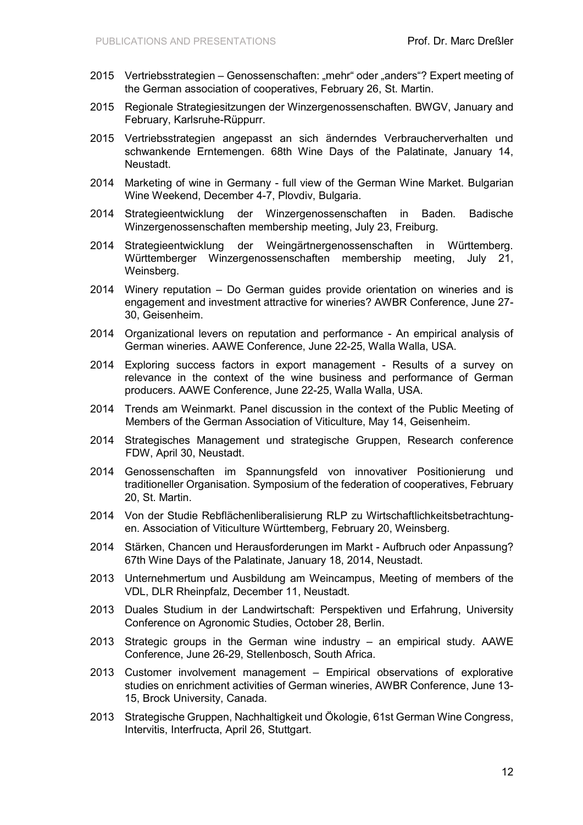- 2015 Vertriebsstrategien Genossenschaften: "mehr" oder "anders"? Expert meeting of the German association of cooperatives, February 26, St. Martin.
- 2015 Regionale Strategiesitzungen der Winzergenossenschaften. BWGV, January and February, Karlsruhe-Rüppurr.
- 2015 Vertriebsstrategien angepasst an sich änderndes Verbraucherverhalten und schwankende Erntemengen. 68th Wine Days of the Palatinate, January 14, Neustadt.
- 2014 Marketing of wine in Germany full view of the German Wine Market. Bulgarian Wine Weekend, December 4-7, Plovdiv, Bulgaria.
- 2014 Strategieentwicklung der Winzergenossenschaften in Baden. Badische Winzergenossenschaften membership meeting, July 23, Freiburg.
- 2014 Strategieentwicklung der Weingärtnergenossenschaften in Württemberg. Württemberger Winzergenossenschaften membership meeting, July 21, Weinsberg.
- 2014 Winery reputation Do German guides provide orientation on wineries and is engagement and investment attractive for wineries? AWBR Conference, June 27- 30, Geisenheim.
- 2014 Organizational levers on reputation and performance An empirical analysis of German wineries. AAWE Conference, June 22-25, Walla Walla, USA.
- 2014 Exploring success factors in export management Results of a survey on relevance in the context of the wine business and performance of German producers. AAWE Conference, June 22-25, Walla Walla, USA.
- 2014 Trends am Weinmarkt. Panel discussion in the context of the Public Meeting of Members of the German Association of Viticulture, May 14, Geisenheim.
- 2014 Strategisches Management und strategische Gruppen, Research conference FDW, April 30, Neustadt.
- 2014 Genossenschaften im Spannungsfeld von innovativer Positionierung und traditioneller Organisation. Symposium of the federation of cooperatives, February 20, St. Martin.
- 2014 Von der Studie Rebflächenliberalisierung RLP zu Wirtschaftlichkeitsbetrachtungen. Association of Viticulture Württemberg, February 20, Weinsberg.
- 2014 Stärken, Chancen und Herausforderungen im Markt Aufbruch oder Anpassung? 67th Wine Days of the Palatinate, January 18, 2014, Neustadt.
- 2013 Unternehmertum und Ausbildung am Weincampus, Meeting of members of the VDL, DLR Rheinpfalz, December 11, Neustadt.
- 2013 Duales Studium in der Landwirtschaft: Perspektiven und Erfahrung, University Conference on Agronomic Studies, October 28, Berlin.
- 2013 Strategic groups in the German wine industry an empirical study. AAWE Conference, June 26-29, Stellenbosch, South Africa.
- 2013 Customer involvement management Empirical observations of explorative studies on enrichment activities of German wineries, AWBR Conference, June 13- 15, Brock University, Canada.
- 2013 Strategische Gruppen, Nachhaltigkeit und Ökologie, 61st German Wine Congress, Intervitis, Interfructa, April 26, Stuttgart.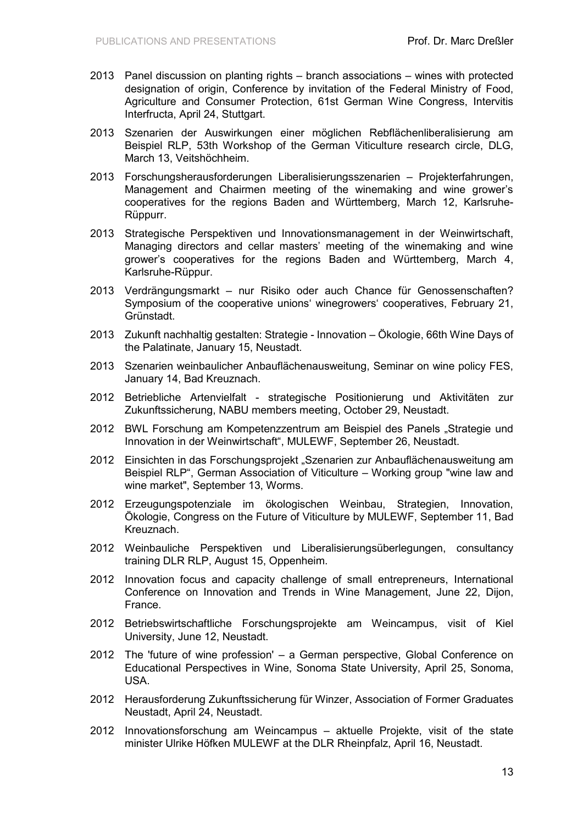- 2013 Panel discussion on planting rights branch associations wines with protected designation of origin, Conference by invitation of the Federal Ministry of Food, Agriculture and Consumer Protection, 61st German Wine Congress, Intervitis Interfructa, April 24, Stuttgart.
- 2013 Szenarien der Auswirkungen einer möglichen Rebflächenliberalisierung am Beispiel RLP, 53th Workshop of the German Viticulture research circle, DLG, March 13, Veitshöchheim.
- 2013 Forschungsherausforderungen Liberalisierungsszenarien Projekterfahrungen, Management and Chairmen meeting of the winemaking and wine grower's cooperatives for the regions Baden and Württemberg, March 12, Karlsruhe-Rüppurr.
- 2013 Strategische Perspektiven und Innovationsmanagement in der Weinwirtschaft, Managing directors and cellar masters' meeting of the winemaking and wine grower's cooperatives for the regions Baden and Württemberg, March 4, Karlsruhe-Rüppur.
- 2013 Verdrängungsmarkt nur Risiko oder auch Chance für Genossenschaften? Symposium of the cooperative unions' winegrowers' cooperatives, February 21, Grünstadt.
- 2013 Zukunft nachhaltig gestalten: Strategie Innovation Ökologie, 66th Wine Days of the Palatinate, January 15, Neustadt.
- 2013 Szenarien weinbaulicher Anbauflächenausweitung, Seminar on wine policy FES, January 14, Bad Kreuznach.
- 2012 Betriebliche Artenvielfalt strategische Positionierung und Aktivitäten zur Zukunftssicherung, NABU members meeting, October 29, Neustadt.
- 2012 BWL Forschung am Kompetenzzentrum am Beispiel des Panels "Strategie und Innovation in der Weinwirtschaft", MULEWF, September 26, Neustadt.
- 2012 Einsichten in das Forschungsprojekt "Szenarien zur Anbauflächenausweitung am Beispiel RLP", German Association of Viticulture – Working group "wine law and wine market", September 13, Worms.
- 2012 Erzeugungspotenziale im ökologischen Weinbau, Strategien, Innovation, Ökologie, Congress on the Future of Viticulture by MULEWF, September 11, Bad Kreuznach.
- 2012 Weinbauliche Perspektiven und Liberalisierungsüberlegungen, consultancy training DLR RLP, August 15, Oppenheim.
- 2012 Innovation focus and capacity challenge of small entrepreneurs, International Conference on Innovation and Trends in Wine Management, June 22, Dijon, France.
- 2012 Betriebswirtschaftliche Forschungsprojekte am Weincampus, visit of Kiel University, June 12, Neustadt.
- 2012 The 'future of wine profession' a German perspective, Global Conference on Educational Perspectives in Wine, Sonoma State University, April 25, Sonoma, USA.
- 2012 Herausforderung Zukunftssicherung für Winzer, Association of Former Graduates Neustadt, April 24, Neustadt.
- 2012 Innovationsforschung am Weincampus aktuelle Projekte, visit of the state minister Ulrike Höfken MULEWF at the DLR Rheinpfalz, April 16, Neustadt.